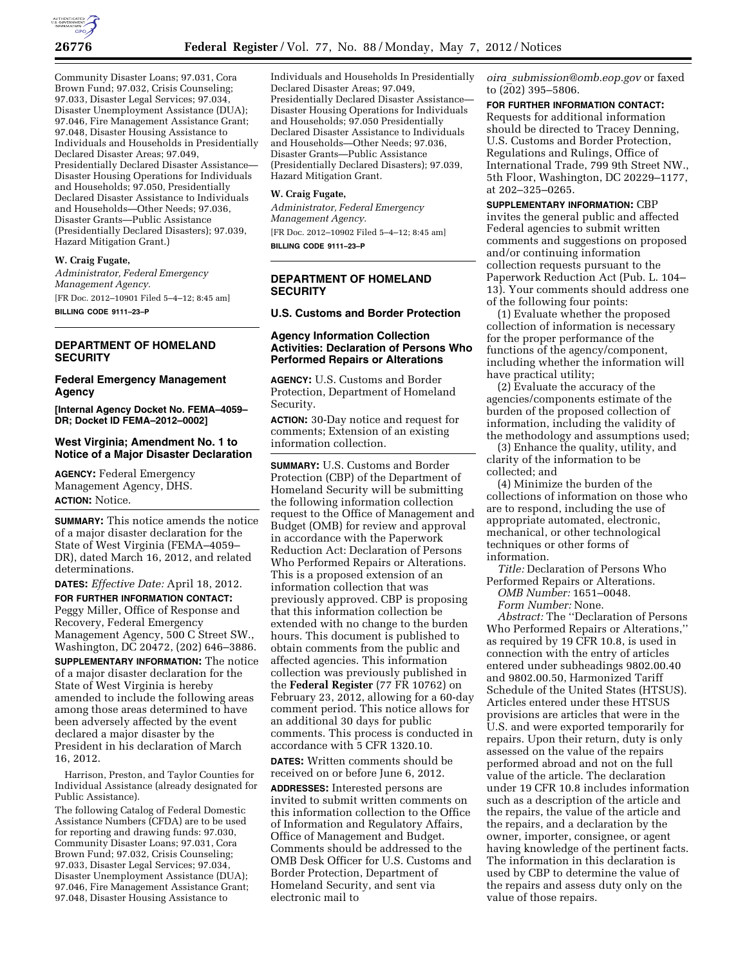

Community Disaster Loans; 97.031, Cora Brown Fund; 97.032, Crisis Counseling; 97.033, Disaster Legal Services; 97.034, Disaster Unemployment Assistance (DUA); 97.046, Fire Management Assistance Grant; 97.048, Disaster Housing Assistance to Individuals and Households in Presidentially Declared Disaster Areas; 97.049, Presidentially Declared Disaster Assistance— Disaster Housing Operations for Individuals and Households; 97.050, Presidentially Declared Disaster Assistance to Individuals and Households—Other Needs; 97.036, Disaster Grants—Public Assistance (Presidentially Declared Disasters); 97.039, Hazard Mitigation Grant.)

## **W. Craig Fugate,**

*Administrator, Federal Emergency Management Agency.*  [FR Doc. 2012–10901 Filed 5–4–12; 8:45 am]

**BILLING CODE 9111–23–P** 

### **DEPARTMENT OF HOMELAND SECURITY**

#### **Federal Emergency Management Agency**

**[Internal Agency Docket No. FEMA–4059– DR; Docket ID FEMA–2012–0002]** 

#### **West Virginia; Amendment No. 1 to Notice of a Major Disaster Declaration**

**AGENCY:** Federal Emergency Management Agency, DHS. **ACTION:** Notice.

**SUMMARY:** This notice amends the notice of a major disaster declaration for the State of West Virginia (FEMA–4059– DR), dated March 16, 2012, and related determinations.

**DATES:** *Effective Date:* April 18, 2012.

**FOR FURTHER INFORMATION CONTACT:**  Peggy Miller, Office of Response and Recovery, Federal Emergency Management Agency, 500 C Street SW., Washington, DC 20472, (202) 646–3886.

**SUPPLEMENTARY INFORMATION:** The notice of a major disaster declaration for the State of West Virginia is hereby amended to include the following areas among those areas determined to have been adversely affected by the event declared a major disaster by the President in his declaration of March 16, 2012.

Harrison, Preston, and Taylor Counties for Individual Assistance (already designated for Public Assistance).

The following Catalog of Federal Domestic Assistance Numbers (CFDA) are to be used for reporting and drawing funds: 97.030, Community Disaster Loans; 97.031, Cora Brown Fund; 97.032, Crisis Counseling; 97.033, Disaster Legal Services; 97.034, Disaster Unemployment Assistance (DUA); 97.046, Fire Management Assistance Grant; 97.048, Disaster Housing Assistance to

Individuals and Households In Presidentially Declared Disaster Areas; 97.049, Presidentially Declared Disaster Assistance— Disaster Housing Operations for Individuals and Households; 97.050 Presidentially Declared Disaster Assistance to Individuals and Households—Other Needs; 97.036, Disaster Grants—Public Assistance (Presidentially Declared Disasters); 97.039, Hazard Mitigation Grant.

#### **W. Craig Fugate,**

*Administrator, Federal Emergency Management Agency.*  [FR Doc. 2012–10902 Filed 5–4–12; 8:45 am] **BILLING CODE 9111–23–P** 

## **DEPARTMENT OF HOMELAND SECURITY**

**U.S. Customs and Border Protection** 

#### **Agency Information Collection Activities: Declaration of Persons Who Performed Repairs or Alterations**

**AGENCY:** U.S. Customs and Border Protection, Department of Homeland Security.

**ACTION:** 30-Day notice and request for comments; Extension of an existing information collection.

**SUMMARY:** U.S. Customs and Border Protection (CBP) of the Department of Homeland Security will be submitting the following information collection request to the Office of Management and Budget (OMB) for review and approval in accordance with the Paperwork Reduction Act: Declaration of Persons Who Performed Repairs or Alterations. This is a proposed extension of an information collection that was previously approved. CBP is proposing that this information collection be extended with no change to the burden hours. This document is published to obtain comments from the public and affected agencies. This information collection was previously published in the **Federal Register** (77 FR 10762) on February 23, 2012, allowing for a 60-day comment period. This notice allows for an additional 30 days for public comments. This process is conducted in accordance with 5 CFR 1320.10.

**DATES:** Written comments should be received on or before June 6, 2012.

**ADDRESSES:** Interested persons are invited to submit written comments on this information collection to the Office of Information and Regulatory Affairs, Office of Management and Budget. Comments should be addressed to the OMB Desk Officer for U.S. Customs and Border Protection, Department of Homeland Security, and sent via electronic mail to

*oira*\_*[submission@omb.eop.gov](mailto:oira_submission@omb.eop.gov)* or faxed to (202) 395–5806.

**FOR FURTHER INFORMATION CONTACT:**  Requests for additional information should be directed to Tracey Denning, U.S. Customs and Border Protection, Regulations and Rulings, Office of International Trade, 799 9th Street NW., 5th Floor, Washington, DC 20229–1177, at 202–325–0265.

**SUPPLEMENTARY INFORMATION:** CBP invites the general public and affected Federal agencies to submit written comments and suggestions on proposed and/or continuing information collection requests pursuant to the Paperwork Reduction Act (Pub. L. 104– 13). Your comments should address one of the following four points:

(1) Evaluate whether the proposed collection of information is necessary for the proper performance of the functions of the agency/component, including whether the information will have practical utility;

(2) Evaluate the accuracy of the agencies/components estimate of the burden of the proposed collection of information, including the validity of the methodology and assumptions used;

(3) Enhance the quality, utility, and clarity of the information to be collected; and

(4) Minimize the burden of the collections of information on those who are to respond, including the use of appropriate automated, electronic, mechanical, or other technological techniques or other forms of information.

*Title:* Declaration of Persons Who Performed Repairs or Alterations.

*OMB Number:* 1651–0048. *Form Number:* None.

*Abstract:* The ''Declaration of Persons Who Performed Repairs or Alterations,'' as required by 19 CFR 10.8, is used in connection with the entry of articles entered under subheadings 9802.00.40 and 9802.00.50, Harmonized Tariff Schedule of the United States (HTSUS). Articles entered under these HTSUS provisions are articles that were in the U.S. and were exported temporarily for repairs. Upon their return, duty is only assessed on the value of the repairs performed abroad and not on the full value of the article. The declaration under 19 CFR 10.8 includes information such as a description of the article and the repairs, the value of the article and the repairs, and a declaration by the owner, importer, consignee, or agent having knowledge of the pertinent facts. The information in this declaration is used by CBP to determine the value of the repairs and assess duty only on the value of those repairs.